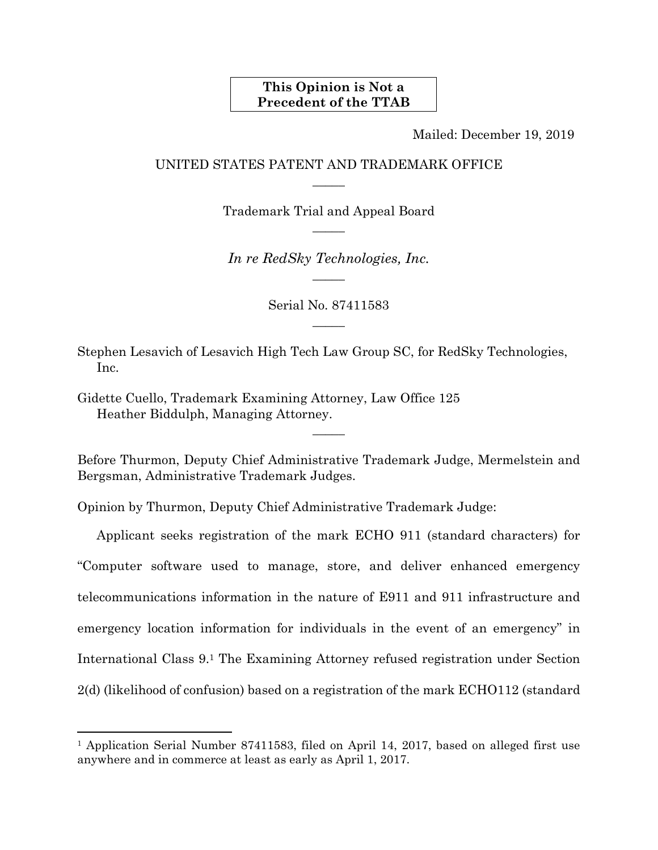## **This Opinion is Not a Precedent of the TTAB**

Mailed: December 19, 2019

## UNITED STATES PATENT AND TRADEMARK OFFICE  $\overline{\phantom{a}}$

Trademark Trial and Appeal Board  $\overline{\phantom{a}}$ 

*In re RedSky Technologies, Inc.*   $\overline{\phantom{a}}$ 

> Serial No. 87411583  $\overline{\phantom{a}}$

Stephen Lesavich of Lesavich High Tech Law Group SC, for RedSky Technologies, Inc.

Gidette Cuello, Trademark Examining Attorney, Law Office 125 Heather Biddulph, Managing Attorney.

Before Thurmon, Deputy Chief Administrative Trademark Judge, Mermelstein and Bergsman, Administrative Trademark Judges.

 $\overline{\phantom{a}}$ 

Opinion by Thurmon, Deputy Chief Administrative Trademark Judge:

 $\overline{a}$ 

Applicant seeks registration of the mark ECHO 911 (standard characters) for "Computer software used to manage, store, and deliver enhanced emergency telecommunications information in the nature of E911 and 911 infrastructure and emergency location information for individuals in the event of an emergency" in International Class 9.1 The Examining Attorney refused registration under Section 2(d) (likelihood of confusion) based on a registration of the mark ECHO112 (standard

<sup>&</sup>lt;sup>1</sup> Application Serial Number 87411583, filed on April 14, 2017, based on alleged first use anywhere and in commerce at least as early as April 1, 2017.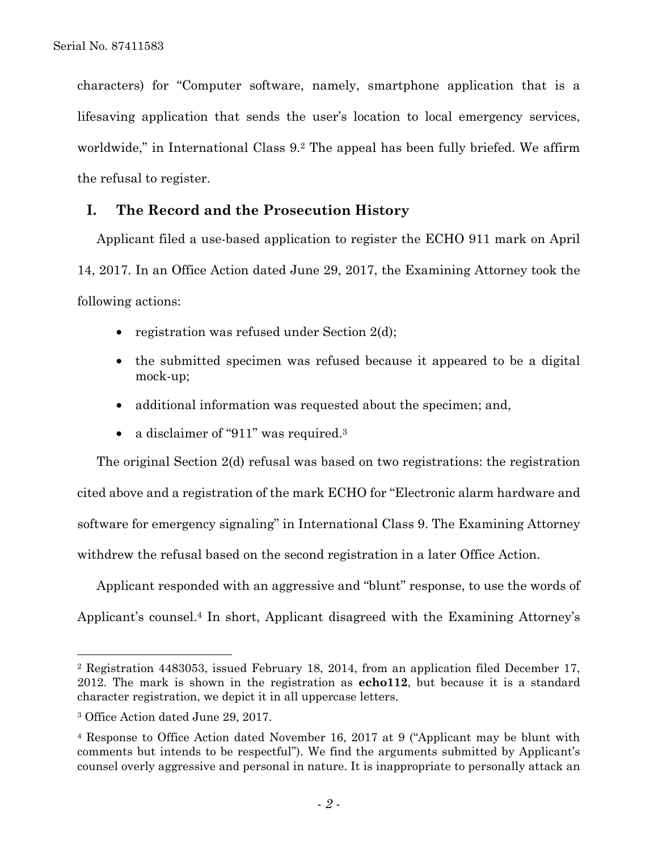characters) for "Computer software, namely, smartphone application that is a lifesaving application that sends the user's location to local emergency services, worldwide," in International Class 9.<sup>2</sup> The appeal has been fully briefed. We affirm the refusal to register.

# **I. The Record and the Prosecution History**

Applicant filed a use-based application to register the ECHO 911 mark on April 14, 2017. In an Office Action dated June 29, 2017, the Examining Attorney took the following actions:

- registration was refused under Section 2(d);
- the submitted specimen was refused because it appeared to be a digital mock-up;
- additional information was requested about the specimen; and,
- a disclaimer of "911" was required.<sup>3</sup>

The original Section 2(d) refusal was based on two registrations: the registration cited above and a registration of the mark ECHO for "Electronic alarm hardware and software for emergency signaling" in International Class 9. The Examining Attorney withdrew the refusal based on the second registration in a later Office Action.

Applicant responded with an aggressive and "blunt" response, to use the words of Applicant's counsel.4 In short, Applicant disagreed with the Examining Attorney's

l

<sup>2</sup> Registration 4483053, issued February 18, 2014, from an application filed December 17, 2012. The mark is shown in the registration as **echo112**, but because it is a standard character registration, we depict it in all uppercase letters.

<sup>3</sup> Office Action dated June 29, 2017.

<sup>4</sup> Response to Office Action dated November 16, 2017 at 9 ("Applicant may be blunt with comments but intends to be respectful"). We find the arguments submitted by Applicant's counsel overly aggressive and personal in nature. It is inappropriate to personally attack an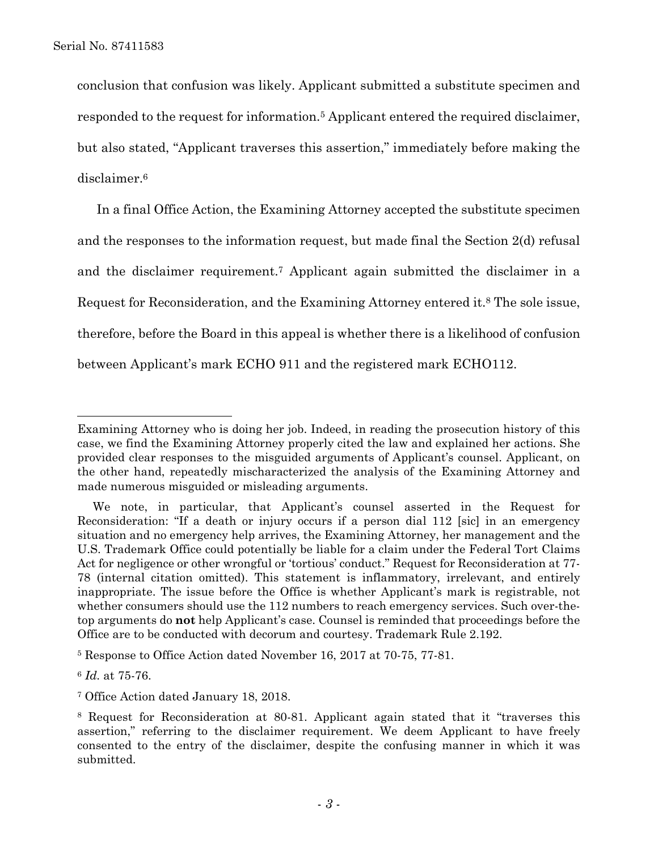conclusion that confusion was likely. Applicant submitted a substitute specimen and responded to the request for information.5 Applicant entered the required disclaimer, but also stated, "Applicant traverses this assertion," immediately before making the disclaimer.6

In a final Office Action, the Examining Attorney accepted the substitute specimen and the responses to the information request, but made final the Section 2(d) refusal and the disclaimer requirement.7 Applicant again submitted the disclaimer in a Request for Reconsideration, and the Examining Attorney entered it.8 The sole issue, therefore, before the Board in this appeal is whether there is a likelihood of confusion between Applicant's mark ECHO 911 and the registered mark ECHO112.

5 Response to Office Action dated November 16, 2017 at 70-75, 77-81.

<sup>6</sup> *Id.* at 75-76.

Examining Attorney who is doing her job. Indeed, in reading the prosecution history of this case, we find the Examining Attorney properly cited the law and explained her actions. She provided clear responses to the misguided arguments of Applicant's counsel. Applicant, on the other hand, repeatedly mischaracterized the analysis of the Examining Attorney and made numerous misguided or misleading arguments.

We note, in particular, that Applicant's counsel asserted in the Request for Reconsideration: "If a death or injury occurs if a person dial 112 [sic] in an emergency situation and no emergency help arrives, the Examining Attorney, her management and the U.S. Trademark Office could potentially be liable for a claim under the Federal Tort Claims Act for negligence or other wrongful or 'tortious' conduct." Request for Reconsideration at 77- 78 (internal citation omitted). This statement is inflammatory, irrelevant, and entirely inappropriate. The issue before the Office is whether Applicant's mark is registrable, not whether consumers should use the 112 numbers to reach emergency services. Such over-thetop arguments do **not** help Applicant's case. Counsel is reminded that proceedings before the Office are to be conducted with decorum and courtesy. Trademark Rule 2.192.

<sup>7</sup> Office Action dated January 18, 2018.

<sup>8</sup> Request for Reconsideration at 80-81. Applicant again stated that it "traverses this assertion," referring to the disclaimer requirement. We deem Applicant to have freely consented to the entry of the disclaimer, despite the confusing manner in which it was submitted.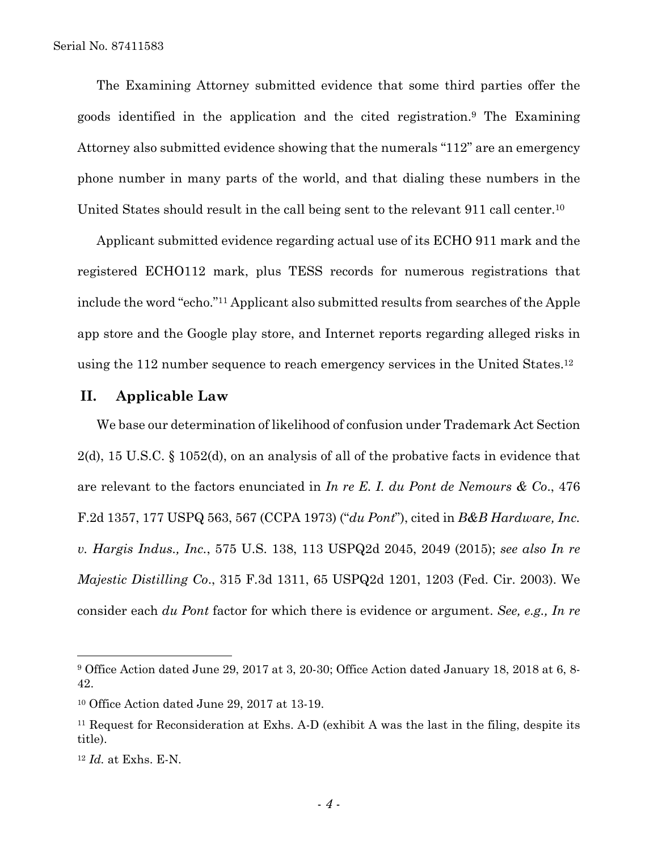The Examining Attorney submitted evidence that some third parties offer the goods identified in the application and the cited registration.9 The Examining Attorney also submitted evidence showing that the numerals "112" are an emergency phone number in many parts of the world, and that dialing these numbers in the United States should result in the call being sent to the relevant 911 call center.10

Applicant submitted evidence regarding actual use of its ECHO 911 mark and the registered ECHO112 mark, plus TESS records for numerous registrations that include the word "echo."11 Applicant also submitted results from searches of the Apple app store and the Google play store, and Internet reports regarding alleged risks in using the 112 number sequence to reach emergency services in the United States.12

### **II. Applicable Law**

We base our determination of likelihood of confusion under Trademark Act Section 2(d), 15 U.S.C. § 1052(d), on an analysis of all of the probative facts in evidence that are relevant to the factors enunciated in *In re E. I. du Pont de Nemours & Co*., 476 F.2d 1357, 177 USPQ 563, 567 (CCPA 1973) ("*du Pont*"), cited in *B&B Hardware, Inc. v. Hargis Indus., Inc.*, 575 U.S. 138, 113 USPQ2d 2045, 2049 (2015); *see also In re Majestic Distilling Co*., 315 F.3d 1311, 65 USPQ2d 1201, 1203 (Fed. Cir. 2003). We consider each *du Pont* factor for which there is evidence or argument. *See, e.g., In re* 

<sup>9</sup> Office Action dated June 29, 2017 at 3, 20-30; Office Action dated January 18, 2018 at 6, 8- 42.

<sup>10</sup> Office Action dated June 29, 2017 at 13-19.

<sup>&</sup>lt;sup>11</sup> Request for Reconsideration at Exhs. A-D (exhibit A was the last in the filing, despite its title).

<sup>12</sup> *Id.* at Exhs. E-N.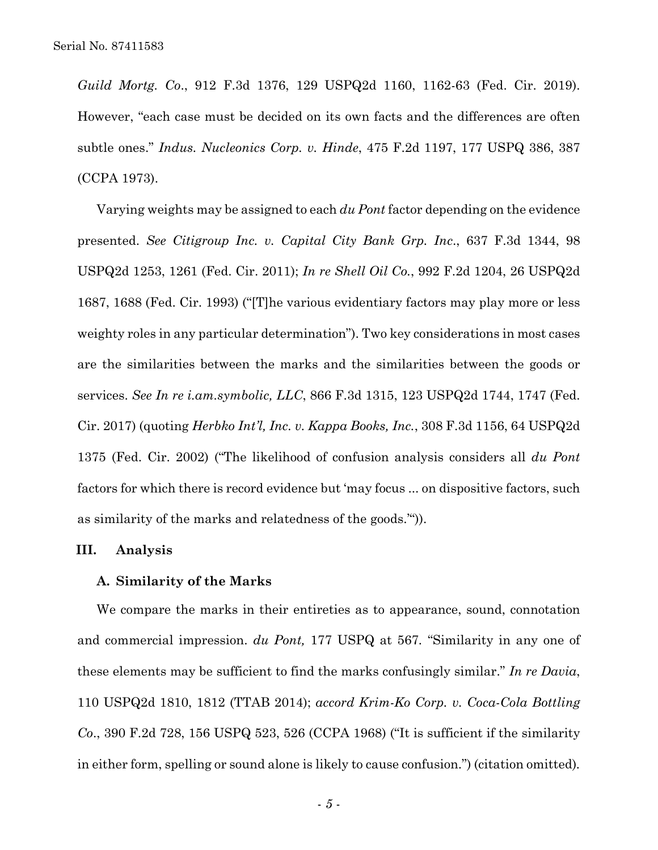*Guild Mortg. Co*., 912 F.3d 1376, 129 USPQ2d 1160, 1162-63 (Fed. Cir. 2019). However, "each case must be decided on its own facts and the differences are often subtle ones." *Indus. Nucleonics Corp. v. Hinde*, 475 F.2d 1197, 177 USPQ 386, 387 (CCPA 1973).

Varying weights may be assigned to each *du Pont* factor depending on the evidence presented. *See Citigroup Inc. v. Capital City Bank Grp. Inc*., 637 F.3d 1344, 98 USPQ2d 1253, 1261 (Fed. Cir. 2011); *In re Shell Oil Co.*, 992 F.2d 1204, 26 USPQ2d 1687, 1688 (Fed. Cir. 1993) ("[T]he various evidentiary factors may play more or less weighty roles in any particular determination"). Two key considerations in most cases are the similarities between the marks and the similarities between the goods or services. *See In re i.am.symbolic, LLC*, 866 F.3d 1315, 123 USPQ2d 1744, 1747 (Fed. Cir. 2017) (quoting *Herbko Int'l, Inc. v. Kappa Books, Inc.*, 308 F.3d 1156, 64 USPQ2d 1375 (Fed. Cir. 2002) ("The likelihood of confusion analysis considers all *du Pont* factors for which there is record evidence but 'may focus ... on dispositive factors, such as similarity of the marks and relatedness of the goods.'")).

#### **III. Analysis**

### **A. Similarity of the Marks**

We compare the marks in their entireties as to appearance, sound, connotation and commercial impression. *du Pont,* 177 USPQ at 567*.* "Similarity in any one of these elements may be sufficient to find the marks confusingly similar." *In re Davia*, 110 USPQ2d 1810, 1812 (TTAB 2014); *accord Krim-Ko Corp. v. Coca-Cola Bottling Co*., 390 F.2d 728, 156 USPQ 523, 526 (CCPA 1968) ("It is sufficient if the similarity in either form, spelling or sound alone is likely to cause confusion.") (citation omitted)*.*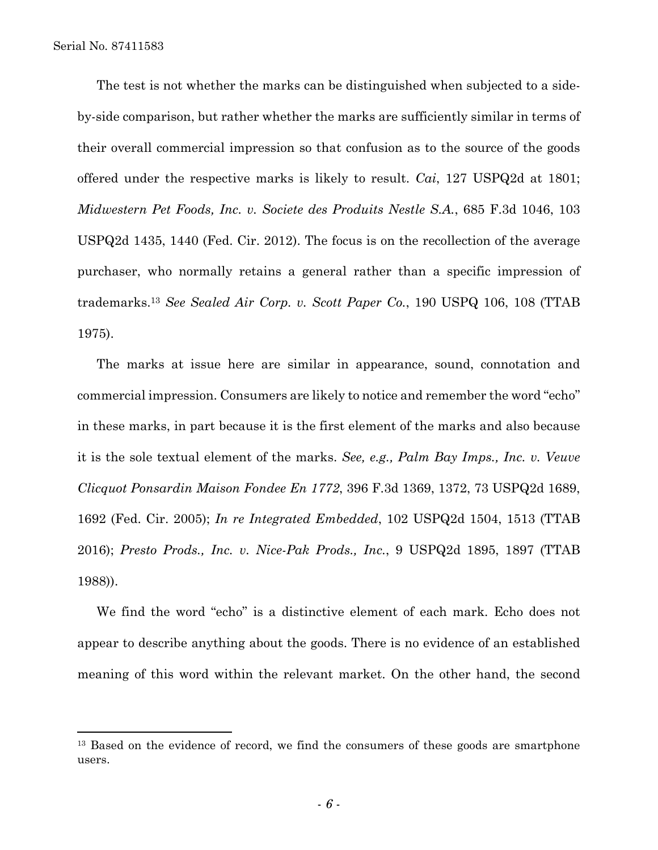The test is not whether the marks can be distinguished when subjected to a sideby-side comparison, but rather whether the marks are sufficiently similar in terms of their overall commercial impression so that confusion as to the source of the goods offered under the respective marks is likely to result. *Cai*, 127 USPQ2d at 1801; *Midwestern Pet Foods, Inc. v. Societe des Produits Nestle S.A.*, 685 F.3d 1046, 103 USPQ2d 1435, 1440 (Fed. Cir. 2012). The focus is on the recollection of the average purchaser, who normally retains a general rather than a specific impression of trademarks.13 *See Sealed Air Corp. v. Scott Paper Co.*, 190 USPQ 106, 108 (TTAB 1975).

The marks at issue here are similar in appearance, sound, connotation and commercial impression. Consumers are likely to notice and remember the word "echo" in these marks, in part because it is the first element of the marks and also because it is the sole textual element of the marks. *See, e.g., Palm Bay Imps., Inc. v. Veuve Clicquot Ponsardin Maison Fondee En 1772*, 396 F.3d 1369, 1372, 73 USPQ2d 1689, 1692 (Fed. Cir. 2005); *In re Integrated Embedded*, 102 USPQ2d 1504, 1513 (TTAB 2016); *Presto Prods., Inc. v. Nice-Pak Prods., Inc.*, 9 USPQ2d 1895, 1897 (TTAB 1988)).

We find the word "echo" is a distinctive element of each mark. Echo does not appear to describe anything about the goods. There is no evidence of an established meaning of this word within the relevant market. On the other hand, the second

<sup>&</sup>lt;sup>13</sup> Based on the evidence of record, we find the consumers of these goods are smartphone users.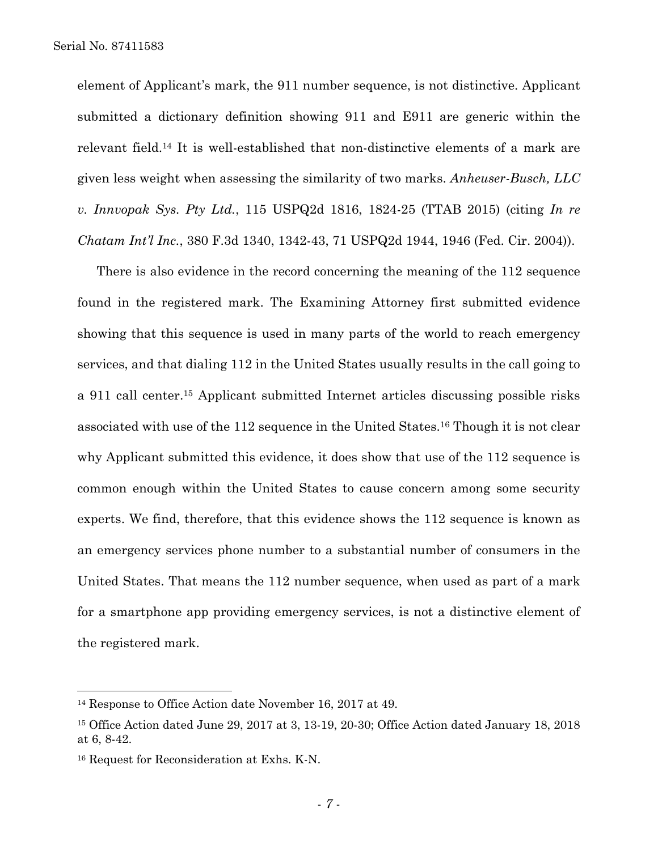element of Applicant's mark, the 911 number sequence, is not distinctive. Applicant submitted a dictionary definition showing 911 and E911 are generic within the relevant field.14 It is well-established that non-distinctive elements of a mark are given less weight when assessing the similarity of two marks. *Anheuser-Busch, LLC v. Innvopak Sys. Pty Ltd.*, 115 USPQ2d 1816, 1824-25 (TTAB 2015) (citing *In re Chatam Int'l Inc.*, 380 F.3d 1340, 1342-43, 71 USPQ2d 1944, 1946 (Fed. Cir. 2004)).

There is also evidence in the record concerning the meaning of the 112 sequence found in the registered mark. The Examining Attorney first submitted evidence showing that this sequence is used in many parts of the world to reach emergency services, and that dialing 112 in the United States usually results in the call going to a 911 call center.15 Applicant submitted Internet articles discussing possible risks associated with use of the 112 sequence in the United States.16 Though it is not clear why Applicant submitted this evidence, it does show that use of the 112 sequence is common enough within the United States to cause concern among some security experts. We find, therefore, that this evidence shows the 112 sequence is known as an emergency services phone number to a substantial number of consumers in the United States. That means the 112 number sequence, when used as part of a mark for a smartphone app providing emergency services, is not a distinctive element of the registered mark.

<sup>14</sup> Response to Office Action date November 16, 2017 at 49.

<sup>15</sup> Office Action dated June 29, 2017 at 3, 13-19, 20-30; Office Action dated January 18, 2018 at 6, 8-42.

<sup>16</sup> Request for Reconsideration at Exhs. K-N.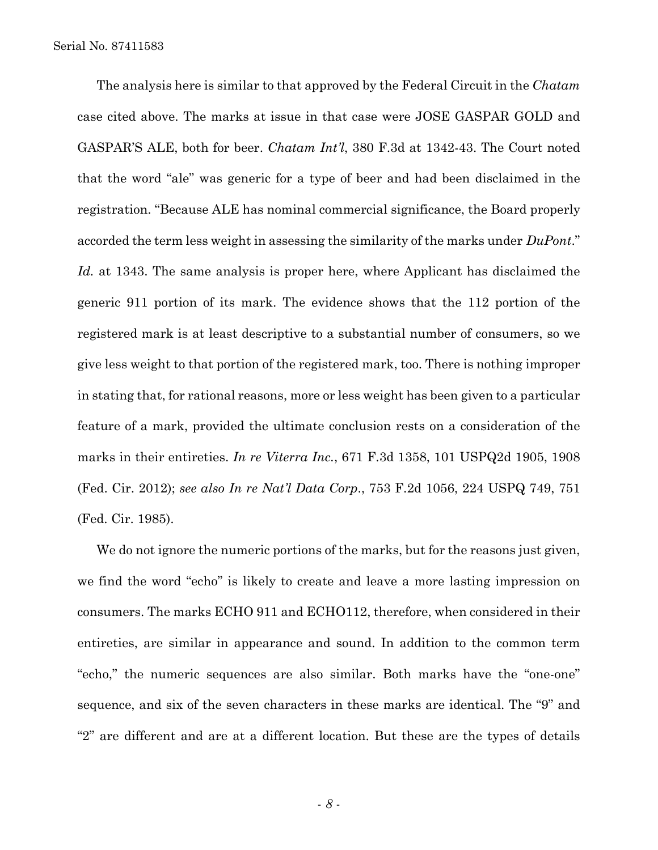The analysis here is similar to that approved by the Federal Circuit in the *Chatam*  case cited above. The marks at issue in that case were JOSE GASPAR GOLD and GASPAR'S ALE, both for beer. *Chatam Int'l*, 380 F.3d at 1342-43. The Court noted that the word "ale" was generic for a type of beer and had been disclaimed in the registration. "Because ALE has nominal commercial significance, the Board properly accorded the term less weight in assessing the similarity of the marks under *DuPont*." *Id.* at 1343. The same analysis is proper here, where Applicant has disclaimed the generic 911 portion of its mark. The evidence shows that the 112 portion of the registered mark is at least descriptive to a substantial number of consumers, so we give less weight to that portion of the registered mark, too. There is nothing improper in stating that, for rational reasons, more or less weight has been given to a particular feature of a mark, provided the ultimate conclusion rests on a consideration of the marks in their entireties. *In re Viterra Inc.*, 671 F.3d 1358, 101 USPQ2d 1905, 1908 (Fed. Cir. 2012); *see also In re Nat'l Data Corp*., 753 F.2d 1056, 224 USPQ 749, 751 (Fed. Cir. 1985).

We do not ignore the numeric portions of the marks, but for the reasons just given, we find the word "echo" is likely to create and leave a more lasting impression on consumers. The marks ECHO 911 and ECHO112, therefore, when considered in their entireties, are similar in appearance and sound. In addition to the common term "echo," the numeric sequences are also similar. Both marks have the "one-one" sequence, and six of the seven characters in these marks are identical. The "9" and "2" are different and are at a different location. But these are the types of details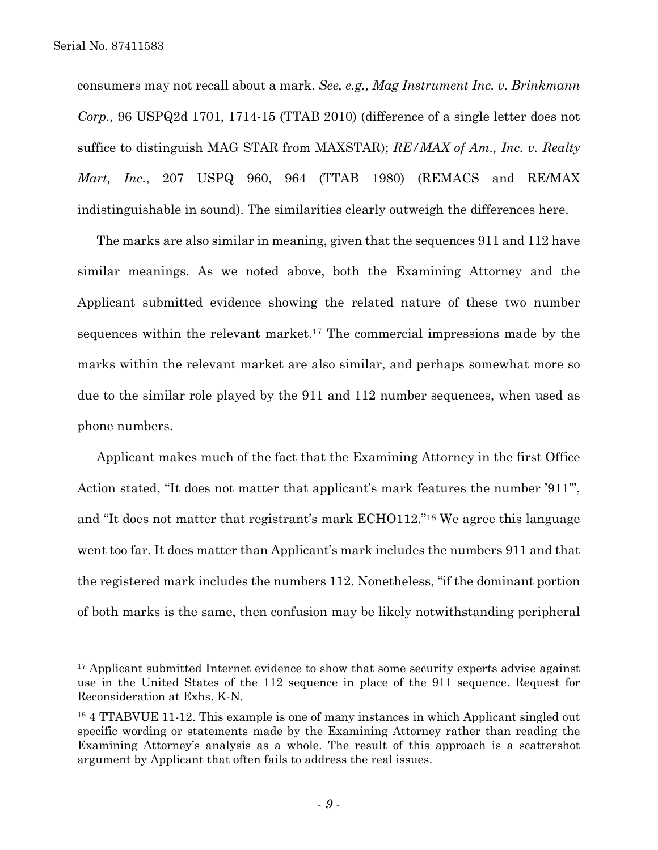l

consumers may not recall about a mark. *See, e.g., Mag Instrument Inc. v. Brinkmann Corp.,* 96 USPQ2d 1701, 1714-15 (TTAB 2010) (difference of a single letter does not suffice to distinguish MAG STAR from MAXSTAR); *RE/MAX of Am., Inc. v. Realty Mart, Inc.*, 207 USPQ 960, 964 (TTAB 1980) (REMACS and RE/MAX indistinguishable in sound). The similarities clearly outweigh the differences here.

The marks are also similar in meaning, given that the sequences 911 and 112 have similar meanings. As we noted above, both the Examining Attorney and the Applicant submitted evidence showing the related nature of these two number sequences within the relevant market.17 The commercial impressions made by the marks within the relevant market are also similar, and perhaps somewhat more so due to the similar role played by the 911 and 112 number sequences, when used as phone numbers.

Applicant makes much of the fact that the Examining Attorney in the first Office Action stated, "It does not matter that applicant's mark features the number '911'", and "It does not matter that registrant's mark ECHO112."18 We agree this language went too far. It does matter than Applicant's mark includes the numbers 911 and that the registered mark includes the numbers 112. Nonetheless, "if the dominant portion of both marks is the same, then confusion may be likely notwithstanding peripheral

<sup>&</sup>lt;sup>17</sup> Applicant submitted Internet evidence to show that some security experts advise against use in the United States of the 112 sequence in place of the 911 sequence. Request for Reconsideration at Exhs. K-N.

<sup>18 4</sup> TTABVUE 11-12. This example is one of many instances in which Applicant singled out specific wording or statements made by the Examining Attorney rather than reading the Examining Attorney's analysis as a whole. The result of this approach is a scattershot argument by Applicant that often fails to address the real issues.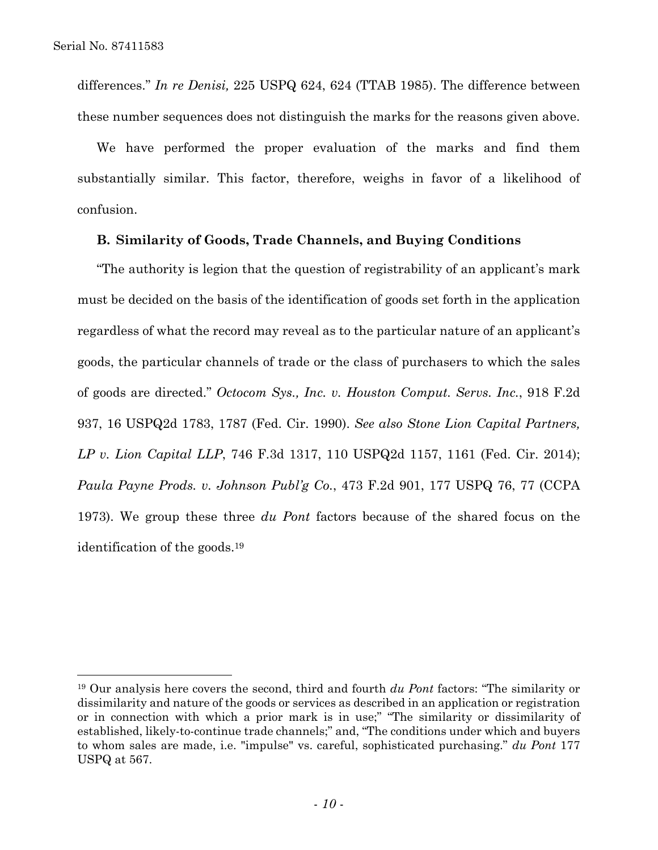differences." *In re Denisi,* 225 USPQ 624, 624 (TTAB 1985). The difference between these number sequences does not distinguish the marks for the reasons given above.

We have performed the proper evaluation of the marks and find them substantially similar. This factor, therefore, weighs in favor of a likelihood of confusion.

### **B. Similarity of Goods, Trade Channels, and Buying Conditions**

"The authority is legion that the question of registrability of an applicant's mark must be decided on the basis of the identification of goods set forth in the application regardless of what the record may reveal as to the particular nature of an applicant's goods, the particular channels of trade or the class of purchasers to which the sales of goods are directed." *Octocom Sys., Inc. v. Houston Comput. Servs. Inc.*, 918 F.2d 937, 16 USPQ2d 1783, 1787 (Fed. Cir. 1990). *See also Stone Lion Capital Partners, LP v. Lion Capital LLP*, 746 F.3d 1317, 110 USPQ2d 1157, 1161 (Fed. Cir. 2014); *Paula Payne Prods. v. Johnson Publ'g Co.*, 473 F.2d 901, 177 USPQ 76, 77 (CCPA 1973). We group these three *du Pont* factors because of the shared focus on the identification of the goods.19

<sup>19</sup> Our analysis here covers the second, third and fourth *du Pont* factors: "The similarity or dissimilarity and nature of the goods or services as described in an application or registration or in connection with which a prior mark is in use;" "The similarity or dissimilarity of established, likely-to-continue trade channels;" and, "The conditions under which and buyers to whom sales are made, i.e. "impulse" vs. careful, sophisticated purchasing." *du Pont* 177 USPQ at 567.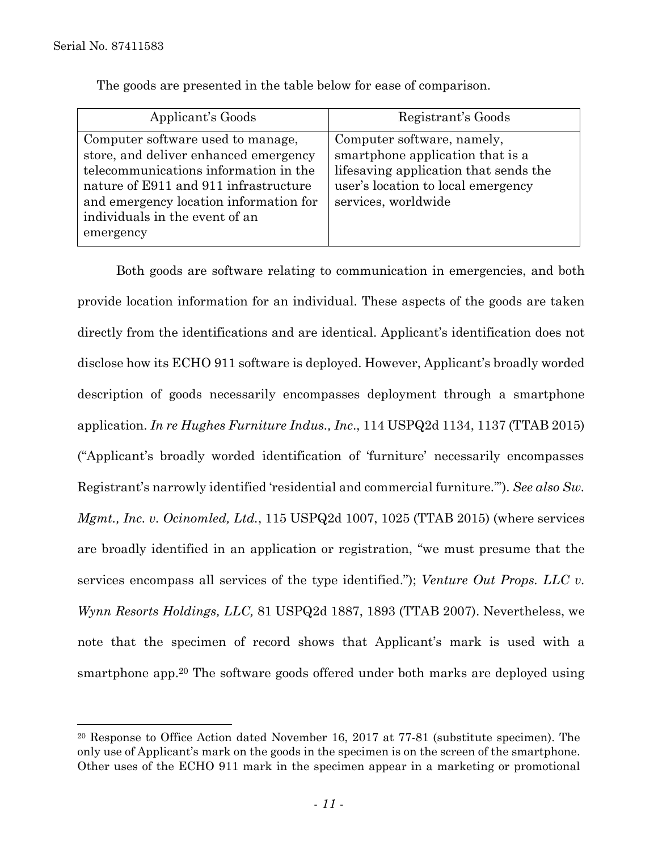| Applicant's Goods                                                                                                                                                                                                                                     | Registrant's Goods                                                                                                                                                   |
|-------------------------------------------------------------------------------------------------------------------------------------------------------------------------------------------------------------------------------------------------------|----------------------------------------------------------------------------------------------------------------------------------------------------------------------|
| Computer software used to manage,<br>store, and deliver enhanced emergency<br>telecommunications information in the<br>nature of E911 and 911 infrastructure<br>and emergency location information for<br>individuals in the event of an<br>emergency | Computer software, namely,<br>smartphone application that is a<br>lifesaving application that sends the<br>user's location to local emergency<br>services, worldwide |

The goods are presented in the table below for ease of comparison.

Both goods are software relating to communication in emergencies, and both provide location information for an individual. These aspects of the goods are taken directly from the identifications and are identical. Applicant's identification does not disclose how its ECHO 911 software is deployed. However, Applicant's broadly worded description of goods necessarily encompasses deployment through a smartphone application. *In re Hughes Furniture Indus., Inc*., 114 USPQ2d 1134, 1137 (TTAB 2015) ("Applicant's broadly worded identification of 'furniture' necessarily encompasses Registrant's narrowly identified 'residential and commercial furniture.'"). *See also Sw. Mgmt., Inc. v. Ocinomled, Ltd.*, 115 USPQ2d 1007, 1025 (TTAB 2015) (where services are broadly identified in an application or registration, "we must presume that the services encompass all services of the type identified."); *Venture Out Props. LLC v. Wynn Resorts Holdings, LLC,* 81 USPQ2d 1887, 1893 (TTAB 2007). Nevertheless, we note that the specimen of record shows that Applicant's mark is used with a smartphone app.<sup>20</sup> The software goods offered under both marks are deployed using

<sup>20</sup> Response to Office Action dated November 16, 2017 at 77-81 (substitute specimen). The only use of Applicant's mark on the goods in the specimen is on the screen of the smartphone. Other uses of the ECHO 911 mark in the specimen appear in a marketing or promotional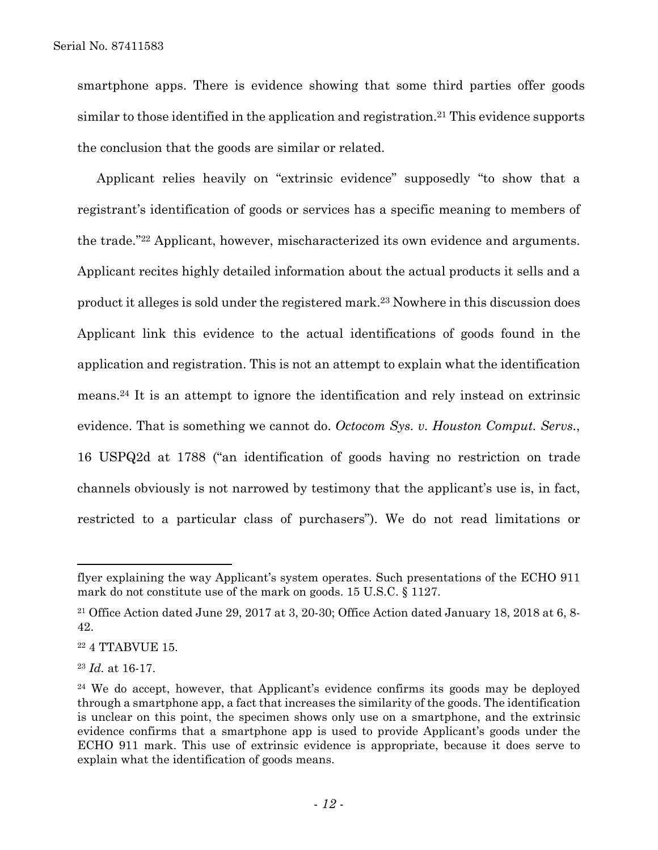smartphone apps. There is evidence showing that some third parties offer goods similar to those identified in the application and registration.<sup>21</sup> This evidence supports the conclusion that the goods are similar or related.

Applicant relies heavily on "extrinsic evidence" supposedly "to show that a registrant's identification of goods or services has a specific meaning to members of the trade."22 Applicant, however, mischaracterized its own evidence and arguments. Applicant recites highly detailed information about the actual products it sells and a product it alleges is sold under the registered mark.23 Nowhere in this discussion does Applicant link this evidence to the actual identifications of goods found in the application and registration. This is not an attempt to explain what the identification means.24 It is an attempt to ignore the identification and rely instead on extrinsic evidence. That is something we cannot do. *Octocom Sys. v. Houston Comput. Servs.*, 16 USPQ2d at 1788 ("an identification of goods having no restriction on trade channels obviously is not narrowed by testimony that the applicant's use is, in fact, restricted to a particular class of purchasers"). We do not read limitations or

<sup>23</sup> *Id.* at 16-17.

flyer explaining the way Applicant's system operates. Such presentations of the ECHO 911 mark do not constitute use of the mark on goods. 15 U.S.C. § 1127.

<sup>&</sup>lt;sup>21</sup> Office Action dated June 29, 2017 at 3, 20-30; Office Action dated January 18, 2018 at 6, 8-42.

<sup>22 4</sup> TTABVUE 15.

<sup>&</sup>lt;sup>24</sup> We do accept, however, that Applicant's evidence confirms its goods may be deployed through a smartphone app, a fact that increases the similarity of the goods. The identification is unclear on this point, the specimen shows only use on a smartphone, and the extrinsic evidence confirms that a smartphone app is used to provide Applicant's goods under the ECHO 911 mark. This use of extrinsic evidence is appropriate, because it does serve to explain what the identification of goods means.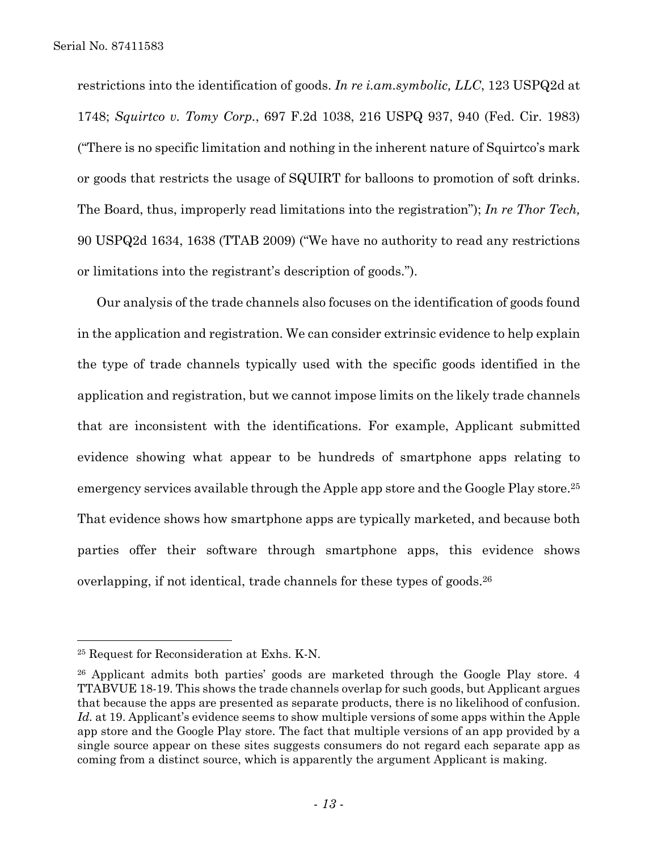restrictions into the identification of goods. *In re i.am.symbolic, LLC*, 123 USPQ2d at 1748; *Squirtco v. Tomy Corp.*, 697 F.2d 1038, 216 USPQ 937, 940 (Fed. Cir. 1983) ("There is no specific limitation and nothing in the inherent nature of Squirtco's mark or goods that restricts the usage of SQUIRT for balloons to promotion of soft drinks. The Board, thus, improperly read limitations into the registration"); *In re Thor Tech,*  90 USPQ2d 1634, 1638 (TTAB 2009) ("We have no authority to read any restrictions or limitations into the registrant's description of goods.").

Our analysis of the trade channels also focuses on the identification of goods found in the application and registration. We can consider extrinsic evidence to help explain the type of trade channels typically used with the specific goods identified in the application and registration, but we cannot impose limits on the likely trade channels that are inconsistent with the identifications. For example, Applicant submitted evidence showing what appear to be hundreds of smartphone apps relating to emergency services available through the Apple app store and the Google Play store.<sup>25</sup> That evidence shows how smartphone apps are typically marketed, and because both parties offer their software through smartphone apps, this evidence shows overlapping, if not identical, trade channels for these types of goods.26

1

<sup>25</sup> Request for Reconsideration at Exhs. K-N.

<sup>26</sup> Applicant admits both parties' goods are marketed through the Google Play store. 4 TTABVUE 18-19. This shows the trade channels overlap for such goods, but Applicant argues that because the apps are presented as separate products, there is no likelihood of confusion. *Id.* at 19. Applicant's evidence seems to show multiple versions of some apps within the Apple app store and the Google Play store. The fact that multiple versions of an app provided by a single source appear on these sites suggests consumers do not regard each separate app as coming from a distinct source, which is apparently the argument Applicant is making.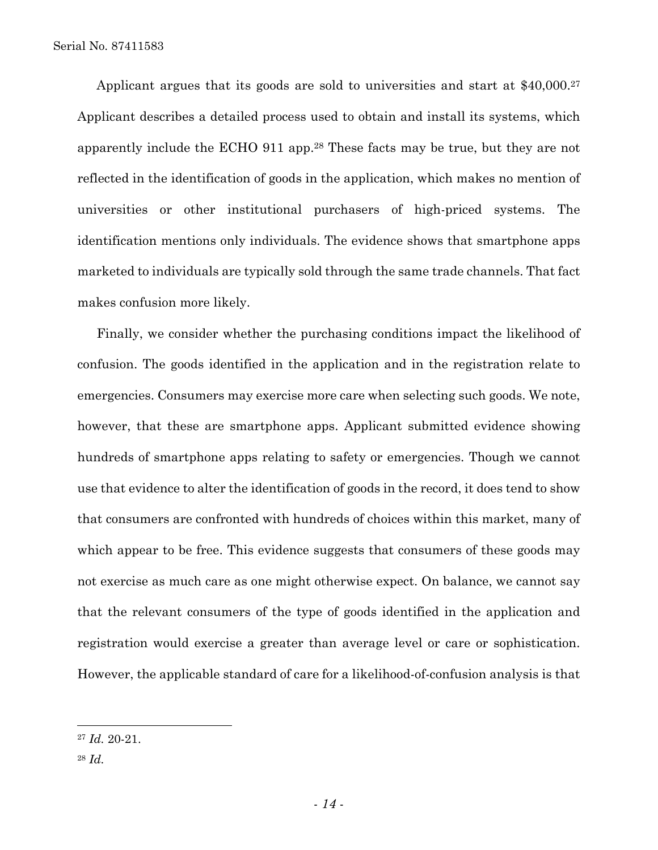Applicant argues that its goods are sold to universities and start at \$40,000.27 Applicant describes a detailed process used to obtain and install its systems, which apparently include the ECHO 911 app.28 These facts may be true, but they are not reflected in the identification of goods in the application, which makes no mention of universities or other institutional purchasers of high-priced systems. The identification mentions only individuals. The evidence shows that smartphone apps marketed to individuals are typically sold through the same trade channels. That fact makes confusion more likely.

Finally, we consider whether the purchasing conditions impact the likelihood of confusion. The goods identified in the application and in the registration relate to emergencies. Consumers may exercise more care when selecting such goods. We note, however, that these are smartphone apps. Applicant submitted evidence showing hundreds of smartphone apps relating to safety or emergencies. Though we cannot use that evidence to alter the identification of goods in the record, it does tend to show that consumers are confronted with hundreds of choices within this market, many of which appear to be free. This evidence suggests that consumers of these goods may not exercise as much care as one might otherwise expect. On balance, we cannot say that the relevant consumers of the type of goods identified in the application and registration would exercise a greater than average level or care or sophistication. However, the applicable standard of care for a likelihood-of-confusion analysis is that

<sup>27</sup> *Id.* 20-21.

<sup>28</sup> *Id.*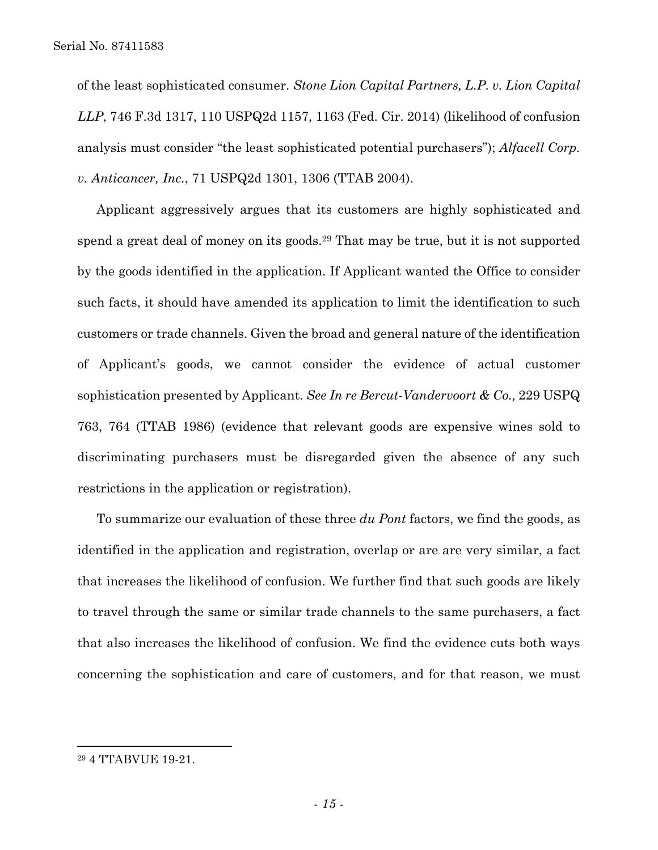of the least sophisticated consumer. *Stone Lion Capital Partners, L.P. v. Lion Capital LLP*, 746 F.3d 1317, 110 USPQ2d 1157, 1163 (Fed. Cir. 2014) (likelihood of confusion analysis must consider "the least sophisticated potential purchasers"); *Alfacell Corp. v. Anticancer, Inc.*, 71 USPQ2d 1301, 1306 (TTAB 2004).

Applicant aggressively argues that its customers are highly sophisticated and spend a great deal of money on its goods.29 That may be true, but it is not supported by the goods identified in the application. If Applicant wanted the Office to consider such facts, it should have amended its application to limit the identification to such customers or trade channels. Given the broad and general nature of the identification of Applicant's goods, we cannot consider the evidence of actual customer sophistication presented by Applicant. *See In re Bercut-Vandervoort & Co.,* 229 USPQ 763, 764 (TTAB 1986) (evidence that relevant goods are expensive wines sold to discriminating purchasers must be disregarded given the absence of any such restrictions in the application or registration).

To summarize our evaluation of these three *du Pont* factors, we find the goods, as identified in the application and registration, overlap or are are very similar, a fact that increases the likelihood of confusion. We further find that such goods are likely to travel through the same or similar trade channels to the same purchasers, a fact that also increases the likelihood of confusion. We find the evidence cuts both ways concerning the sophistication and care of customers, and for that reason, we must

1

<sup>29 4</sup> TTABVUE 19-21.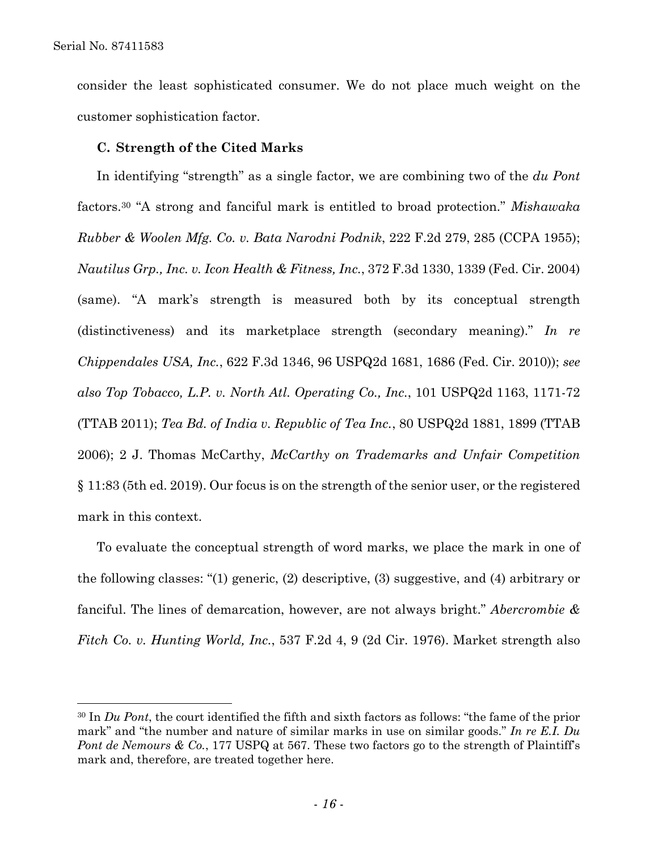consider the least sophisticated consumer. We do not place much weight on the customer sophistication factor.

### **C. Strength of the Cited Marks**

In identifying "strength" as a single factor, we are combining two of the *du Pont*  factors.30 "A strong and fanciful mark is entitled to broad protection." *Mishawaka Rubber & Woolen Mfg. Co. v. Bata Narodni Podnik*, 222 F.2d 279, 285 (CCPA 1955); *Nautilus Grp., Inc. v. Icon Health & Fitness, Inc.*, 372 F.3d 1330, 1339 (Fed. Cir. 2004) (same). "A mark's strength is measured both by its conceptual strength (distinctiveness) and its marketplace strength (secondary meaning)." *In re Chippendales USA, Inc.*, 622 F.3d 1346, 96 USPQ2d 1681, 1686 (Fed. Cir. 2010)); *see also Top Tobacco, L.P. v. North Atl. Operating Co., Inc.*, 101 USPQ2d 1163, 1171-72 (TTAB 2011); *Tea Bd. of India v. Republic of Tea Inc.*, 80 USPQ2d 1881, 1899 (TTAB 2006); 2 J. Thomas McCarthy, *McCarthy on Trademarks and Unfair Competition* § 11:83 (5th ed. 2019). Our focus is on the strength of the senior user, or the registered mark in this context.

To evaluate the conceptual strength of word marks, we place the mark in one of the following classes: "(1) generic, (2) descriptive, (3) suggestive, and (4) arbitrary or fanciful. The lines of demarcation, however, are not always bright." *Abercrombie & Fitch Co. v. Hunting World, Inc.*, 537 F.2d 4, 9 (2d Cir. 1976). Market strength also

<sup>30</sup> In *Du Pont*, the court identified the fifth and sixth factors as follows: "the fame of the prior mark" and "the number and nature of similar marks in use on similar goods." *In re E.I. Du Pont de Nemours & Co.*, 177 USPQ at 567. These two factors go to the strength of Plaintiff's mark and, therefore, are treated together here.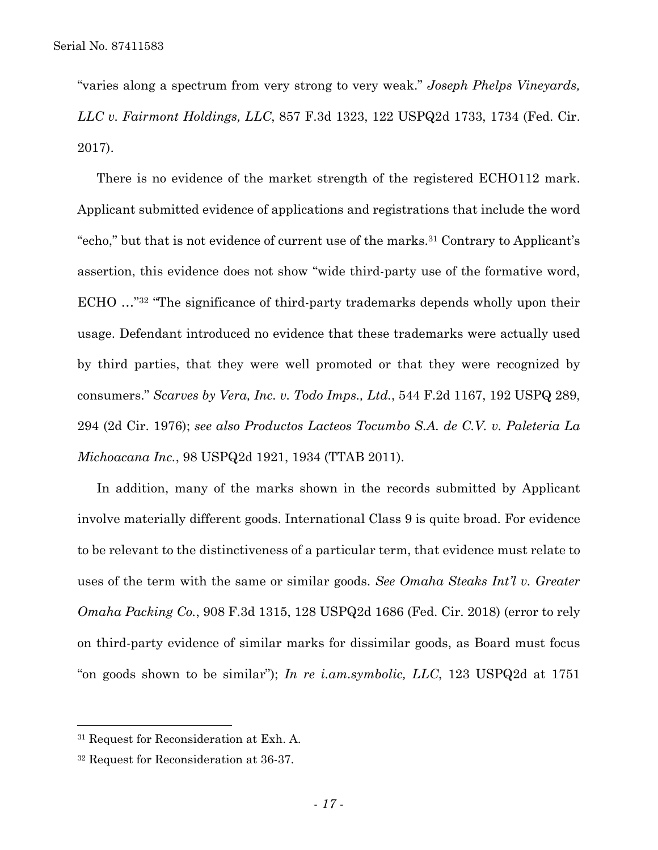"varies along a spectrum from very strong to very weak." *Joseph Phelps Vineyards, LLC v. Fairmont Holdings, LLC*, 857 F.3d 1323, 122 USPQ2d 1733, 1734 (Fed. Cir. 2017).

There is no evidence of the market strength of the registered ECHO112 mark. Applicant submitted evidence of applications and registrations that include the word "echo," but that is not evidence of current use of the marks.31 Contrary to Applicant's assertion, this evidence does not show "wide third-party use of the formative word, ECHO …"32 "The significance of third-party trademarks depends wholly upon their usage. Defendant introduced no evidence that these trademarks were actually used by third parties, that they were well promoted or that they were recognized by consumers." *Scarves by Vera, Inc. v. Todo Imps., Ltd.*, 544 F.2d 1167, 192 USPQ 289, 294 (2d Cir. 1976); *see also Productos Lacteos Tocumbo S.A. de C.V. v. Paleteria La Michoacana Inc.*, 98 USPQ2d 1921, 1934 (TTAB 2011).

In addition, many of the marks shown in the records submitted by Applicant involve materially different goods. International Class 9 is quite broad. For evidence to be relevant to the distinctiveness of a particular term, that evidence must relate to uses of the term with the same or similar goods. *See Omaha Steaks Int'l v. Greater Omaha Packing Co.*, 908 F.3d 1315, 128 USPQ2d 1686 (Fed. Cir. 2018) (error to rely on third-party evidence of similar marks for dissimilar goods, as Board must focus "on goods shown to be similar"); *In re i.am.symbolic, LLC*, 123 USPQ2d at 1751

1

<sup>31</sup> Request for Reconsideration at Exh. A.

<sup>32</sup> Request for Reconsideration at 36-37.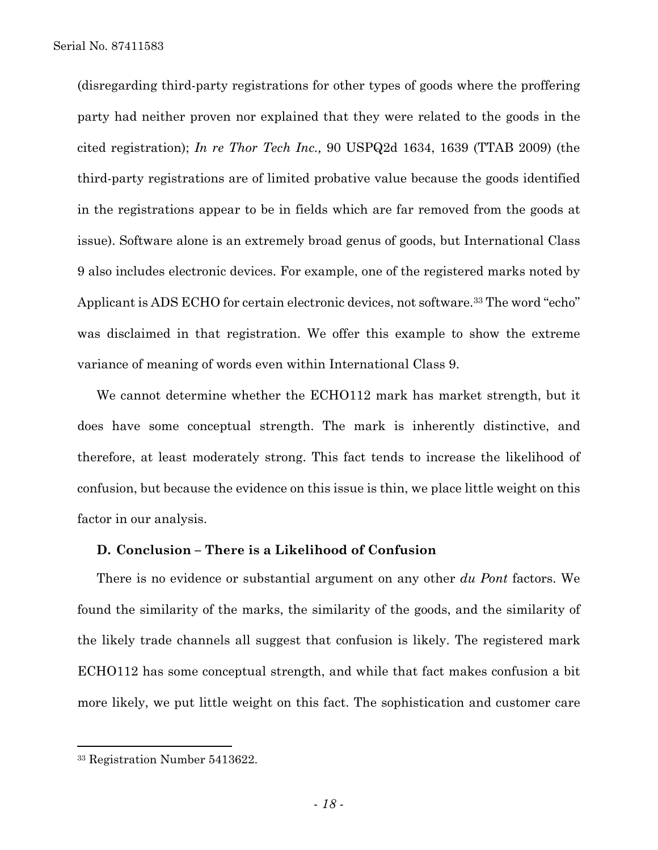(disregarding third-party registrations for other types of goods where the proffering party had neither proven nor explained that they were related to the goods in the cited registration); *In re Thor Tech Inc.,* 90 USPQ2d 1634, 1639 (TTAB 2009) (the third-party registrations are of limited probative value because the goods identified in the registrations appear to be in fields which are far removed from the goods at issue). Software alone is an extremely broad genus of goods, but International Class 9 also includes electronic devices. For example, one of the registered marks noted by Applicant is ADS ECHO for certain electronic devices, not software.33 The word "echo" was disclaimed in that registration. We offer this example to show the extreme variance of meaning of words even within International Class 9.

We cannot determine whether the ECHO112 mark has market strength, but it does have some conceptual strength. The mark is inherently distinctive, and therefore, at least moderately strong. This fact tends to increase the likelihood of confusion, but because the evidence on this issue is thin, we place little weight on this factor in our analysis.

### **D. Conclusion – There is a Likelihood of Confusion**

There is no evidence or substantial argument on any other *du Pont* factors. We found the similarity of the marks, the similarity of the goods, and the similarity of the likely trade channels all suggest that confusion is likely. The registered mark ECHO112 has some conceptual strength, and while that fact makes confusion a bit more likely, we put little weight on this fact. The sophistication and customer care

<sup>33</sup> Registration Number 5413622.